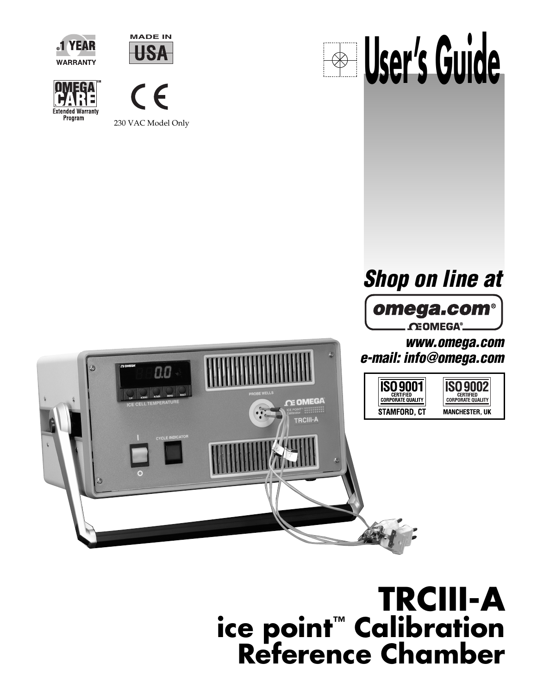











# **TRCIII-A ice point™ Calibration Reference Chamber**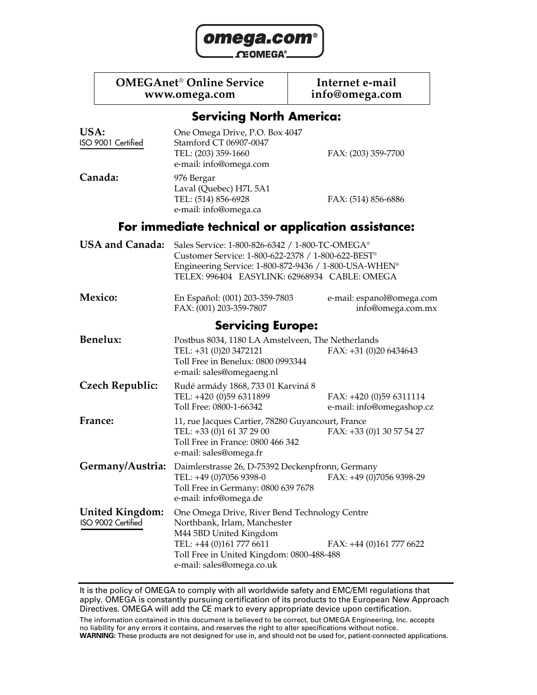

#### **OMEGAnet<sup>®</sup> Online Service Internet e-mail www.omega.com info@omega.com**

### **Servicing North America:**

| USA:<br>ISO 9001 Certified                   | One Omega Drive, P.O. Box 4047<br>Stamford CT 06907-0047<br>TEL: (203) 359-1660<br>e-mail: info@omega.com                                                                                                       | FAX: (203) 359-7700                                  |
|----------------------------------------------|-----------------------------------------------------------------------------------------------------------------------------------------------------------------------------------------------------------------|------------------------------------------------------|
| Canada:                                      | 976 Bergar<br>Laval (Quebec) H7L 5A1<br>TEL: (514) 856-6928<br>e-mail: info@omega.ca                                                                                                                            | FAX: (514) 856-6886                                  |
|                                              | For immediate technical or application assistance:                                                                                                                                                              |                                                      |
| <b>USA and Canada:</b>                       | Sales Service: 1-800-826-6342 / 1-800-TC-OMEGA®<br>Customer Service: 1-800-622-2378 / 1-800-622-BEST®<br>Engineering Service: 1-800-872-9436 / 1-800-USA-WHEN®<br>TELEX: 996404 EASYLINK: 62968934 CABLE: OMEGA |                                                      |
| Mexico:                                      | En Español: (001) 203-359-7803<br>FAX: (001) 203-359-7807                                                                                                                                                       | e-mail: espanol@omega.com<br>info@omega.com.mx       |
|                                              | <b>Servicing Europe:</b>                                                                                                                                                                                        |                                                      |
| <b>Benelux:</b>                              | Postbus 8034, 1180 LA Amstelveen, The Netherlands<br>TEL: +31 (0)20 3472121<br>Toll Free in Benelux: 0800 0993344<br>e-mail: sales@omegaeng.nl                                                                  | FAX: $+31$ (0)20 6434643                             |
| <b>Czech Republic:</b>                       | Rudé armády 1868, 733 01 Karviná 8<br>TEL: +420 (0)59 6311899<br>Toll Free: 0800-1-66342                                                                                                                        | FAX: +420 (0)59 6311114<br>e-mail: info@omegashop.cz |
| France:                                      | 11, rue Jacques Cartier, 78280 Guyancourt, France<br>TEL: +33 (0)1 61 37 29 00<br>Toll Free in France: 0800 466 342<br>e-mail: sales@omega.fr                                                                   | FAX: +33 (0)1 30 57 54 27                            |
| Germany/Austria:                             | Daimlerstrasse 26, D-75392 Deckenpfronn, Germany<br>TEL: +49 (0)7056 9398-0<br>Toll Free in Germany: 0800 639 7678<br>e-mail: info@omega.de                                                                     | FAX: +49 (0)7056 9398-29                             |
| <b>United Kingdom:</b><br>ISO 9002 Certified | One Omega Drive, River Bend Technology Centre<br>Northbank, Irlam, Manchester<br>M44 5BD United Kingdom<br>TEL: +44 (0)161 777 6611<br>Toll Free in United Kingdom: 0800-488-488<br>e-mail: sales@omega.co.uk   | FAX: +44 (0)161 777 6622                             |

It is the policy of OMEGA to comply with all worldwide safety and EMC/EMI regulations that apply. OMEGA is constantly pursuing certification of its products to the European New Approach Directives. OMEGA will add the CE mark to every appropriate device upon certification.

The information contained in this document is believed to be correct, but OMEGA Engineering, Inc. accepts no liability for any errors it contains, and reserves the right to alter specifications without notice. **WARNING:** These products are not designed for use in, and should not be used for, patient-connected applications.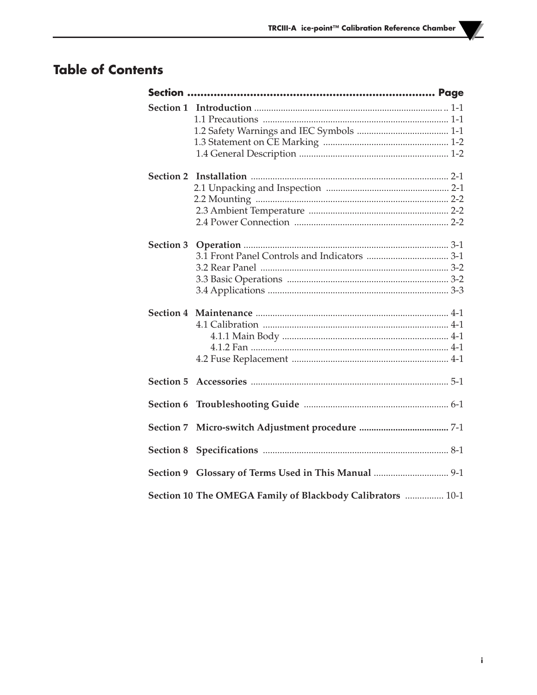### **Table of Contents**

| <b>Section 3</b> |                                                            |
|------------------|------------------------------------------------------------|
|                  |                                                            |
| <b>Section 5</b> |                                                            |
| <b>Section 6</b> |                                                            |
| <b>Section 7</b> |                                                            |
| <b>Section 8</b> |                                                            |
|                  | Section 9 Glossary of Terms Used in This Manual  9-1       |
|                  | Section 10 The OMEGA Family of Blackbody Calibrators  10-1 |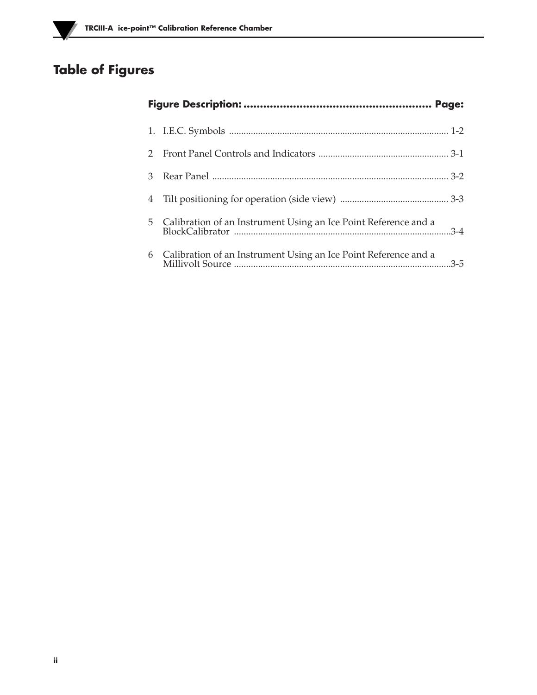# **Table of Figures**

Ľ

| $\mathcal{D}$ |                                                                   |
|---------------|-------------------------------------------------------------------|
| 3             |                                                                   |
| 4             |                                                                   |
|               | 5 Calibration of an Instrument Using an Ice Point Reference and a |
| 6             | Calibration of an Instrument Using an Ice Point Reference and a   |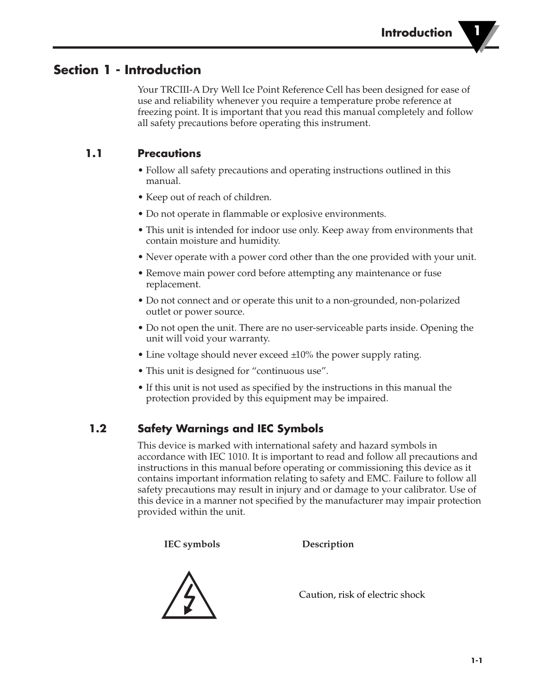### **Section 1 - Introduction**

Your TRCIII-A Dry Well Ice Point Reference Cell has been designed for ease of use and reliability whenever you require a temperature probe reference at freezing point. It is important that you read this manual completely and follow all safety precautions before operating this instrument.

### **1.1 Precautions**

- Follow all safety precautions and operating instructions outlined in this manual.
- Keep out of reach of children.
- Do not operate in flammable or explosive environments.
- This unit is intended for indoor use only. Keep away from environments that contain moisture and humidity.
- Never operate with a power cord other than the one provided with your unit.
- Remove main power cord before attempting any maintenance or fuse replacement.
- Do not connect and or operate this unit to a non-grounded, non-polarized outlet or power source.
- Do not open the unit. There are no user-serviceable parts inside. Opening the unit will void your warranty.
- Line voltage should never exceed  $\pm 10\%$  the power supply rating.
- This unit is designed for "continuous use".
- If this unit is not used as specified by the instructions in this manual the protection provided by this equipment may be impaired.

### **1.2 Safety Warnings and IEC Symbols**

This device is marked with international safety and hazard symbols in accordance with IEC 1010. It is important to read and follow all precautions and instructions in this manual before operating or commissioning this device as it contains important information relating to safety and EMC. Failure to follow all safety precautions may result in injury and or damage to your calibrator. Use of this device in a manner not specified by the manufacturer may impair protection provided within the unit.

**IEC symbols Description**



Caution, risk of electric shock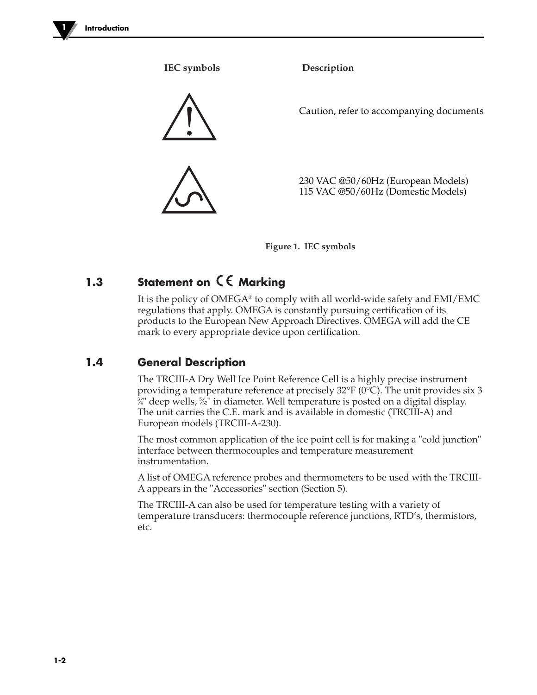

**IEC symbols Description** 230 VAC @50/60Hz (European Models) 115 VAC @50/60Hz (Domestic Models) Caution, refer to accompanying documents

**Figure 1. IEC symbols** 

### **1.3** Statement on  $C \in \mathbb{R}$  Marking

It is the policy of OMEGA® to comply with all world-wide safety and EMI/EMC regulations that apply. OMEGA is constantly pursuing certification of its products to the European New Approach Directives. OMEGA will add the CE mark to every appropriate device upon certification.

### **1.4 General Description**

The TRCIII-A Dry Well Ice Point Reference Cell is a highly precise instrument providing a temperature reference at precisely  $32^{\circ}F(0^{\circ}C)$ . The unit provides six 3 ¾" deep wells*,* %2" in diameter. Well temperature is posted on a digital display. The unit carries the C.E. mark and is available in domestic (TRCIII-A) and European models (TRCIII-A-230).

The most common application of the ice point cell is for making a "cold junction" interface between thermocouples and temperature measurement instrumentation.

A list of OMEGA reference probes and thermometers to be used with the TRCIII-A appears in the "Accessories" section (Section 5).

The TRCIII-A can also be used for temperature testing with a variety of temperature transducers: thermocouple reference junctions, RTD's, thermistors, etc.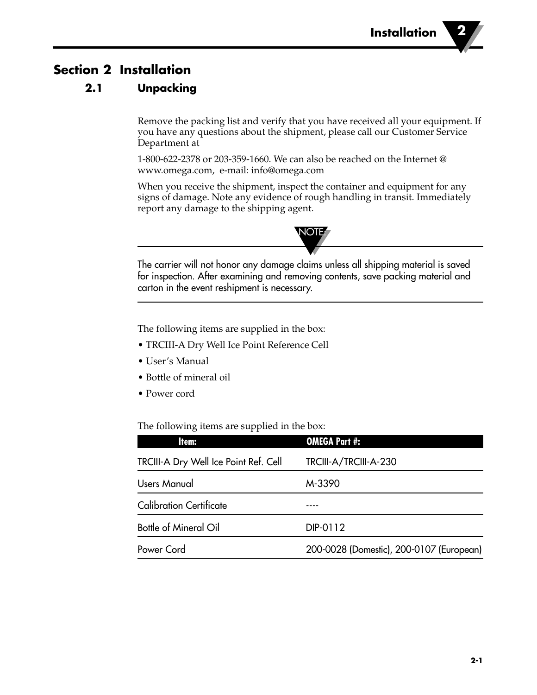### **Section 2 Installation**

### **2.1 Unpacking**

Remove the packing list and verify that you have received all your equipment. If you have any questions about the shipment, please call our Customer Service Department at

1-800-622-2378 or 203-359-1660. We can also be reached on the Internet @ www.omega.com, e-mail: info@omega.com

When you receive the shipment, inspect the container and equipment for any signs of damage. Note any evidence of rough handling in transit. Immediately report any damage to the shipping agent.



The carrier will not honor any damage claims unless all shipping material is saved for inspection. After examining and removing contents, save packing material and carton in the event reshipment is necessary.

The following items are supplied in the box:

- TRCIII-A Dry Well Ice Point Reference Cell
- User's Manual
- Bottle of mineral oil
- Power cord

The following items are supplied in the box:

| Item:                                 | <b>OMEGA Part #:</b>                     |
|---------------------------------------|------------------------------------------|
| TRCIII-A Dry Well Ice Point Ref. Cell | TRCIII-A/TRCIII-A-230                    |
| Users Manual                          | M-3390                                   |
| <b>Calibration Certificate</b>        |                                          |
| <b>Bottle of Mineral Oil</b>          | DIP-0112                                 |
| Power Cord                            | 200-0028 (Domestic), 200-0107 (European) |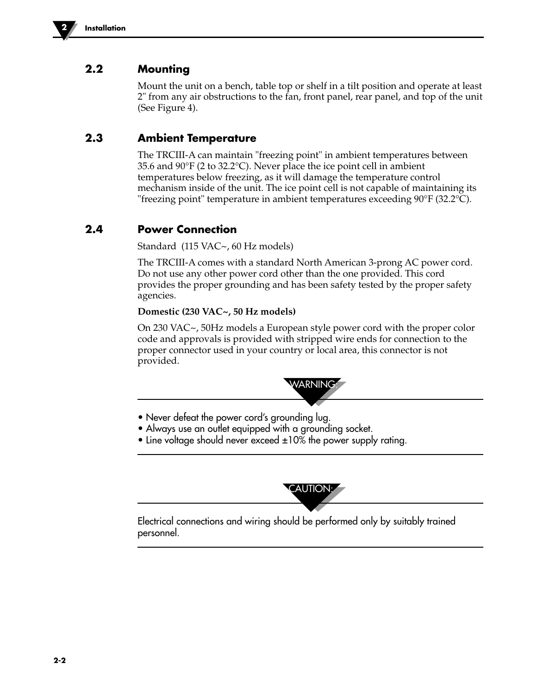

### **2.2 Mounting**

Mount the unit on a bench, table top or shelf in a tilt position and operate at least 2" from any air obstructions to the fan, front panel, rear panel, and top of the unit (See Figure 4).

### **2.3 Ambient Temperature**

The TRCIII-A can maintain "freezing point" in ambient temperatures between 35.6 and 90°F (2 to 32.2°C). Never place the ice point cell in ambient temperatures below freezing, as it will damage the temperature control mechanism inside of the unit. The ice point cell is not capable of maintaining its "freezing point" temperature in ambient temperatures exceeding 90°F (32.2°C).

### **2.4 Power Connection**

Standard (115 VAC~, 60 Hz models)

The TRCIII-A comes with a standard North American 3-prong AC power cord. Do not use any other power cord other than the one provided. This cord provides the proper grounding and has been safety tested by the proper safety agencies.

#### **Domestic (230 VAC~, 50 Hz models)**

On 230 VAC~, 50Hz models a European style power cord with the proper color code and approvals is provided with stripped wire ends for connection to the proper connector used in your country or local area, this connector is not provided.



- Never defeat the power cord's grounding lug.
- Always use an outlet equipped with a grounding socket.
- Line voltage should never exceed  $\pm 10\%$  the power supply rating.



Electrical connections and wiring should be performed only by suitably trained personnel.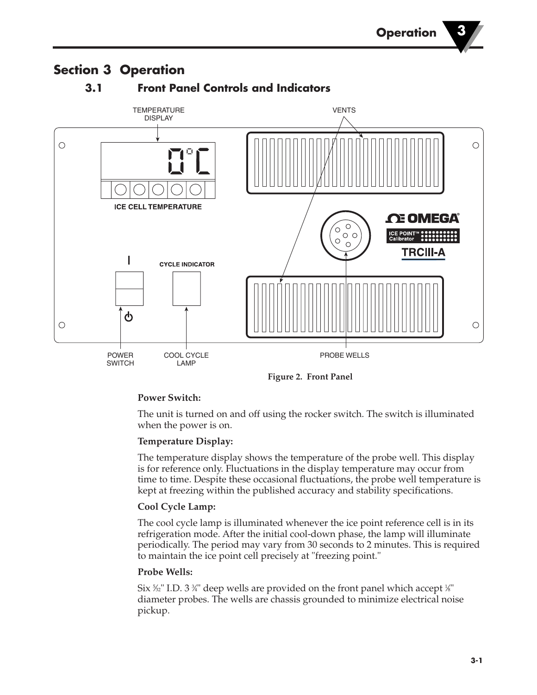### **3.1 Front Panel Controls and Indicators TEMPERATURE VENTS** DISPLAY  $\circ$  $\circ$ **ICE CELL TEMPERATURE** *NEGA*  $\circ$  $\left( \begin{smallmatrix} 0 & 0 & 0 \\ 0 & 0 & 0 \\ 0 & 0 & 0 \end{smallmatrix} \right)$ ICE POINT<br>Calibrator  $\circ$ **TRCIII-A** I **CYCLE INDICATOR**  $\mathbf d$  $\circ$  $\circ$ POWER COOL CYCLE PROBE WELLS **SWITCH** LAMP

# **Section 3 Operation**

**Figure 2. Front Panel**

#### **Power Switch:**

The unit is turned on and off using the rocker switch. The switch is illuminated when the power is on.

#### **Temperature Display:**

The temperature display shows the temperature of the probe well. This display is for reference only. Fluctuations in the display temperature may occur from time to time. Despite these occasional fluctuations, the probe well temperature is kept at freezing within the published accuracy and stability specifications.

#### **Cool Cycle Lamp:**

The cool cycle lamp is illuminated whenever the ice point reference cell is in its refrigeration mode. After the initial cool-down phase, the lamp will illuminate periodically. The period may vary from 30 seconds to 2 minutes. This is required to maintain the ice point cell precisely at "freezing point."

#### **Probe Wells:**

Six ¾" I.D. 3 ¾" deep wells are provided on the front panel which accept ¼" diameter probes. The wells are chassis grounded to minimize electrical noise pickup.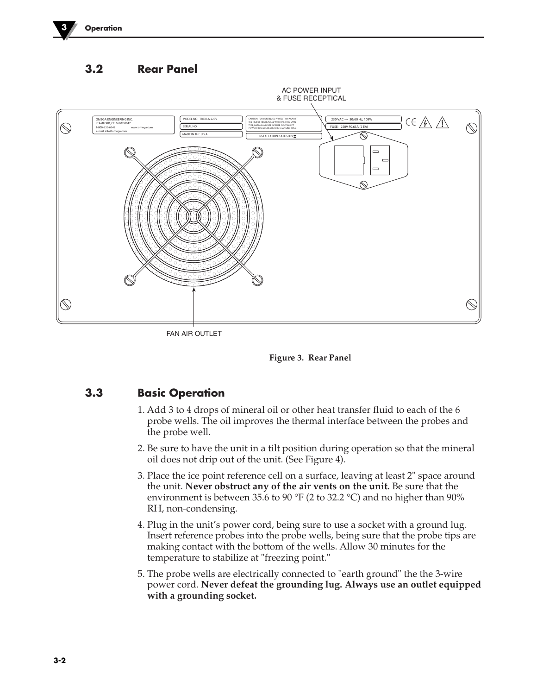

**3.2 Rear Panel**



FAN AIR OUTLET



### **3.3 Basic Operation**

- 1. Add 3 to 4 drops of mineral oil or other heat transfer fluid to each of the 6 probe wells. The oil improves the thermal interface between the probes and the probe well.
- 2. Be sure to have the unit in a tilt position during operation so that the mineral oil does not drip out of the unit. (See Figure 4).
- 3. Place the ice point reference cell on a surface, leaving at least 2" space around the unit. **Never obstruct any of the air vents on the unit.** Be sure that the environment is between 35.6 to 90 °F (2 to 32.2 °C) and no higher than 90% RH, non-condensing.
- 4. Plug in the unit's power cord, being sure to use a socket with a ground lug. Insert reference probes into the probe wells, being sure that the probe tips are making contact with the bottom of the wells. Allow 30 minutes for the temperature to stabilize at "freezing point."
- 5. The probe wells are electrically connected to "earth ground" the the 3-wire power cord. **Never defeat the grounding lug. Always use an outlet equipped with a grounding socket.**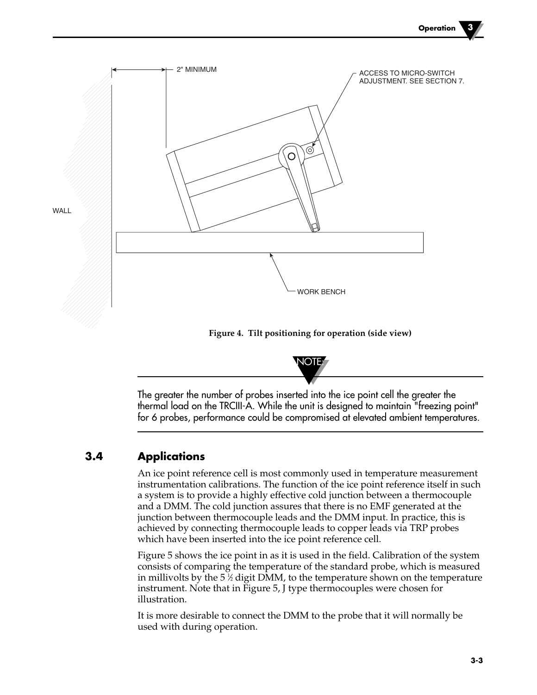

**Figure 4. Tilt positioning for operation (side view)**



The greater the number of probes inserted into the ice point cell the greater the thermal load on the TRCIII-A. While the unit is designed to maintain "freezing point" for 6 probes, performance could be compromised at elevated ambient temperatures.

### **3.4 Applications**

An ice point reference cell is most commonly used in temperature measurement instrumentation calibrations. The function of the ice point reference itself in such a system is to provide a highly effective cold junction between a thermocouple and a DMM. The cold junction assures that there is no EMF generated at the junction between thermocouple leads and the DMM input. In practice, this is achieved by connecting thermocouple leads to copper leads via TRP probes which have been inserted into the ice point reference cell.

Figure 5 shows the ice point in as it is used in the field. Calibration of the system consists of comparing the temperature of the standard probe, which is measured in millivolts by the 5  $\%$  digit DMM, to the temperature shown on the temperature instrument. Note that in Figure 5, J type thermocouples were chosen for illustration.

It is more desirable to connect the DMM to the probe that it will normally be used with during operation.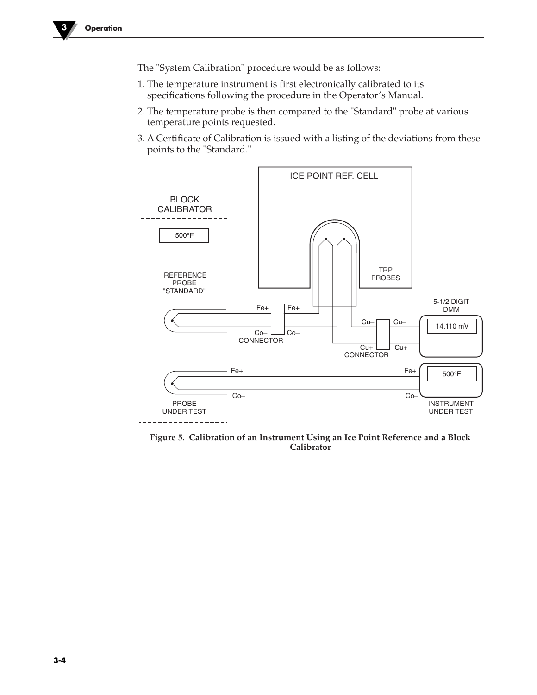The "System Calibration" procedure would be as follows:

- 1. The temperature instrument is first electronically calibrated to its specifications following the procedure in the Operator's Manual.
- 2. The temperature probe is then compared to the "Standard" probe at various temperature points requested.
- 3. A Certificate of Calibration is issued with a listing of the deviations from these points to the "Standard."



**Figure 5. Calibration of an Instrument Using an Ice Point Reference and a Block Calibrator**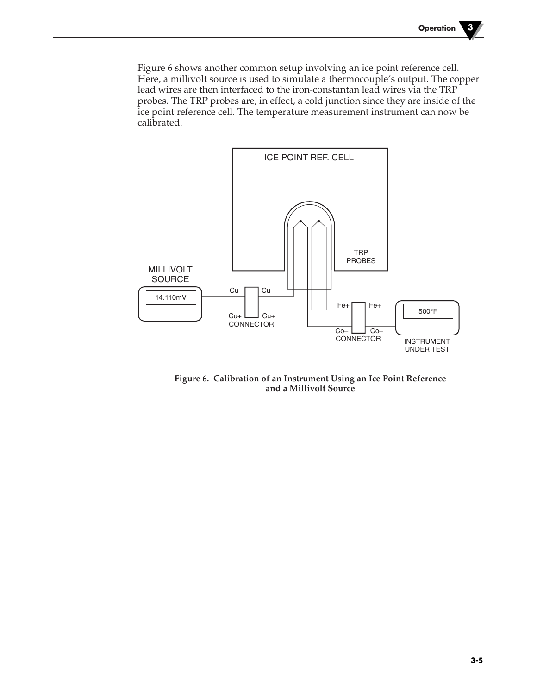Figure 6 shows another common setup involving an ice point reference cell. Here, a millivolt source is used to simulate a thermocouple's output. The copper lead wires are then interfaced to the iron-constantan lead wires via the TRP probes. The TRP probes are, in effect, a cold junction since they are inside of the ice point reference cell. The temperature measurement instrument can now be calibrated.



**Figure 6. Calibration of an Instrument Using an Ice Point Reference and a Millivolt Source**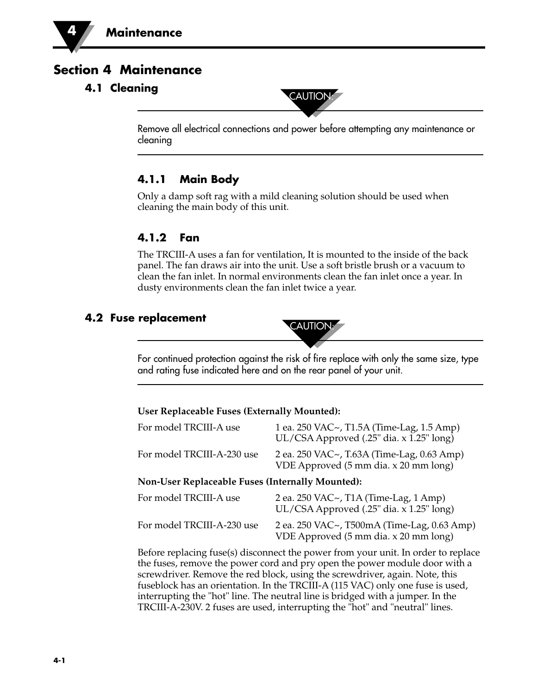### **Section 4 Maintenance**

# **4.1 Cleaning** CAUTION



Remove all electrical connections and power before attempting any maintenance or cleaning

### **4.1.1 Main Body**

Only a damp soft rag with a mild cleaning solution should be used when cleaning the main body of this unit.

### **4.1.2 Fan**

The TRCIII-A uses a fan for ventilation, It is mounted to the inside of the back panel. The fan draws air into the unit. Use a soft bristle brush or a vacuum to clean the fan inlet. In normal environments clean the fan inlet once a year. In dusty environments clean the fan inlet twice a year.

# **4.2 Fuse replacement CAUTION:**



#### **User Replaceable Fuses (Externally Mounted):**

| For model TRCIII-A use                                  | 1 ea. 250 VAC~, T1.5A (Time-Lag, 1.5 Amp)<br>UL/CSA Approved (.25" dia. x 1.25" long) |  |
|---------------------------------------------------------|---------------------------------------------------------------------------------------|--|
| For model TRCIII-A-230 use                              | 2 ea. 250 VAC~, T.63A (Time-Lag, 0.63 Amp)<br>VDE Approved (5 mm dia. x 20 mm long)   |  |
| <b>Non-User Replaceable Fuses (Internally Mounted):</b> |                                                                                       |  |
| For model TRCIII-A use                                  | 2 ea. 250 VAC~, T1A (Time-Lag, 1 Amp)<br>UL/CSA Approved (.25" dia. x 1.25" long)     |  |
| For model TRCIII-A-230 use                              | 2 ea. 250 VAC~, T500mA (Time-Lag, 0.63 Amp)<br>VDE Approved (5 mm dia. x 20 mm long)  |  |

Before replacing fuse(s) disconnect the power from your unit. In order to replace the fuses, remove the power cord and pry open the power module door with a screwdriver. Remove the red block, using the screwdriver, again. Note, this fuseblock has an orientation. In the TRCIII-A (115 VAC) only one fuse is used, interrupting the "hot" line. The neutral line is bridged with a jumper. In the TRCIII-A-230V. 2 fuses are used, interrupting the "hot" and "neutral" lines.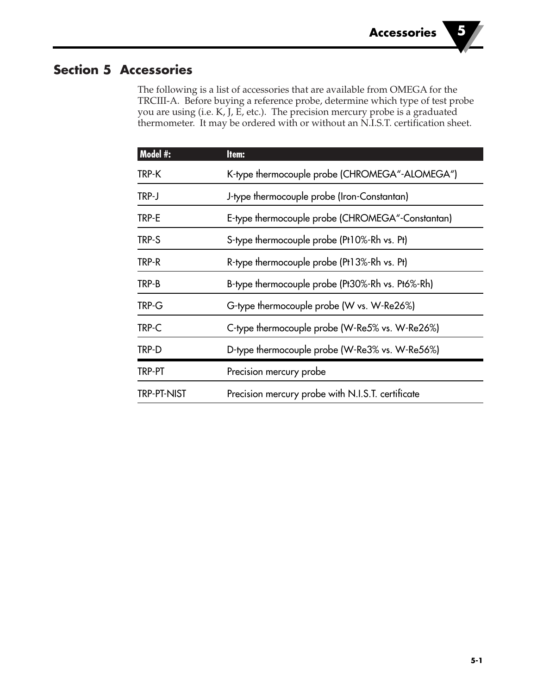### **Section 5 Accessories**

The following is a list of accessories that are available from OMEGA for the TRCIII-A. Before buying a reference probe, determine which type of test probe you are using (i.e. K, J, E, etc.). The precision mercury probe is a graduated thermometer. It may be ordered with or without an N.I.S.T. certification sheet.

| Model #:           | Item:                                             |
|--------------------|---------------------------------------------------|
| TRP-K              | K-type thermocouple probe (CHROMEGA"-ALOMEGA")    |
| TRP-J              | J-type thermocouple probe (Iron-Constantan)       |
| TRP-E              | E-type thermocouple probe (CHROMEGA"-Constantan)  |
| TRP-S              | S-type thermocouple probe (Pt10%-Rh vs. Pt)       |
| TRP-R              | R-type thermocouple probe (Pt13%-Rh vs. Pt)       |
| TRP-B              | B-type thermocouple probe (Pt30%-Rh vs. Pt6%-Rh)  |
| TRP-G              | G-type thermocouple probe (W vs. W-Re26%)         |
| TRP-C              | C-type thermocouple probe (W-Re5% vs. W-Re26%)    |
| TRP-D              | D-type thermocouple probe (W-Re3% vs. W-Re56%)    |
| TRP-PT             | Precision mercury probe                           |
| <b>TRP-PT-NIST</b> | Precision mercury probe with N.I.S.T. certificate |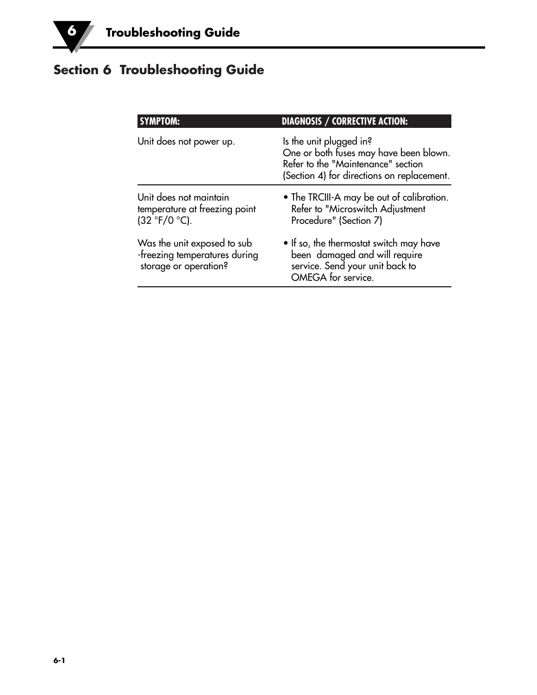# **Section 6 Troubleshooting Guide**

| <b>SYMPTOM:</b>                                                                       | <b>DIAGNOSIS / CORRECTIVE ACTION:</b>                                                                                                                 |
|---------------------------------------------------------------------------------------|-------------------------------------------------------------------------------------------------------------------------------------------------------|
| Unit does not power up.                                                               | Is the unit plugged in?<br>One or both fuses may have been blown.<br>Refer to the "Maintenance" section<br>(Section 4) for directions on replacement. |
| Unit does not maintain<br>temperature at freezing point<br>$(32 °F/0 °C)$ .           | • The TRCIII-A may be out of calibration.<br>Refer to "Microswitch Adjustment<br>Procedure" (Section 7)                                               |
| Was the unit exposed to sub<br>-freezing temperatures during<br>storage or operation? | • If so, the thermostat switch may have<br>been damaged and will require<br>service. Send your unit back to<br>OMEGA for service.                     |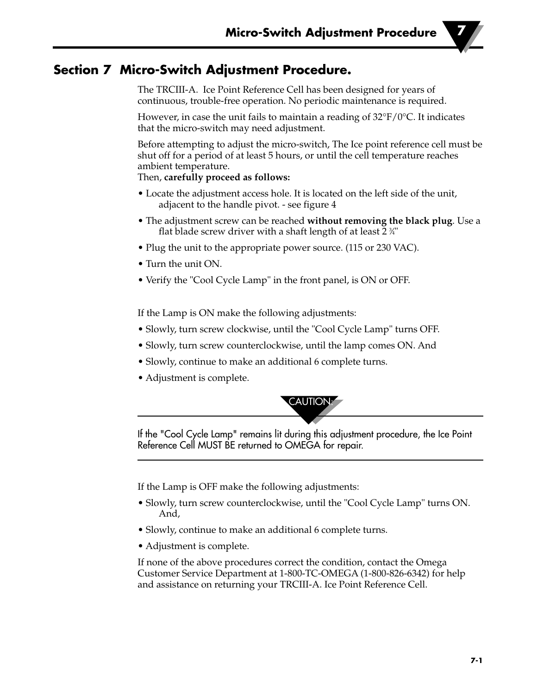### **Section 7 Micro-Switch Adjustment Procedure.**

The TRCIII-A. Ice Point Reference Cell has been designed for years of continuous, trouble-free operation. No periodic maintenance is required.

However, in case the unit fails to maintain a reading of  $32^{\circ}F/0^{\circ}C$ . It indicates that the micro-switch may need adjustment.

Before attempting to adjust the micro-switch, The Ice point reference cell must be shut off for a period of at least 5 hours, or until the cell temperature reaches ambient temperature.

Then, **carefully proceed as follows:**

- Locate the adjustment access hole. It is located on the left side of the unit, adjacent to the handle pivot. - see figure 4
- The adjustment screw can be reached **without removing the black plug**. Use a flat blade screw driver with a shaft length of at least 2  $\frac{3}{4}$ "
- Plug the unit to the appropriate power source. (115 or 230 VAC).
- Turn the unit ON.
- Verify the "Cool Cycle Lamp" in the front panel, is ON or OFF.

If the Lamp is ON make the following adjustments:

- Slowly, turn screw clockwise, until the "Cool Cycle Lamp" turns OFF.
- Slowly, turn screw counterclockwise, until the lamp comes ON. And
- Slowly, continue to make an additional 6 complete turns.
- Adjustment is complete.



If the "Cool Cycle Lamp" remains lit during this adjustment procedure, the Ice Point Reference Cell MUST BE returned to OMEGA for repair.

If the Lamp is OFF make the following adjustments:

- Slowly, turn screw counterclockwise, until the "Cool Cycle Lamp" turns ON. And,
- Slowly, continue to make an additional 6 complete turns.
- Adjustment is complete.

If none of the above procedures correct the condition, contact the Omega Customer Service Department at 1-800-TC-OMEGA (1-800-826-6342) for help and assistance on returning your TRCIII-A. Ice Point Reference Cell.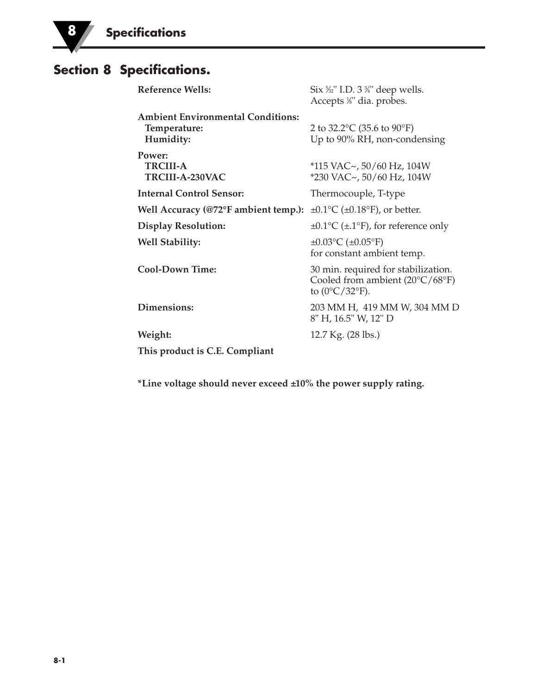### **Section 8 Specifications.**

| Reference Wells:                                                      | Six $\frac{5}{2}$ " I.D. 3 $\frac{3}{4}$ " deep wells.<br>Accepts <sup>1/8"</sup> dia. probes.                            |
|-----------------------------------------------------------------------|---------------------------------------------------------------------------------------------------------------------------|
| <b>Ambient Environmental Conditions:</b><br>Temperature:<br>Humidity: | 2 to 32.2 °C (35.6 to 90 °F)<br>Up to 90% RH, non-condensing                                                              |
| Power:<br><b>TRCIII-A</b><br>TRCIII-A-230VAC                          | $*115$ VAC~, 50/60 Hz, 104W<br>$*230$ VAC $\sim$ , 50/60 Hz, 104W                                                         |
| <b>Internal Control Sensor:</b>                                       | Thermocouple, T-type                                                                                                      |
| Well Accuracy (@72°F ambient temp.):                                  | $\pm 0.1$ °C ( $\pm 0.18$ °F), or better.                                                                                 |
| <b>Display Resolution:</b>                                            | $\pm 0.1$ °C ( $\pm$ .1°F), for reference only                                                                            |
| <b>Well Stability:</b>                                                | $\pm 0.03$ °C ( $\pm 0.05$ °F)<br>for constant ambient temp.                                                              |
| <b>Cool-Down Time:</b>                                                | 30 min. required for stabilization.<br>Cooled from ambient $(20^{\circ}C/68^{\circ}F)$<br>to $(0^{\circ}C/32^{\circ}F)$ . |
| Dimensions:                                                           | 203 MM H, 419 MM W, 304 MM D<br>8" H, 16.5" W, 12" D                                                                      |
| Weight:                                                               | 12.7 Kg. (28 lbs.)                                                                                                        |
| This product is C.E. Compliant                                        |                                                                                                                           |

**\*Line voltage should never exceed ±10% the power supply rating.**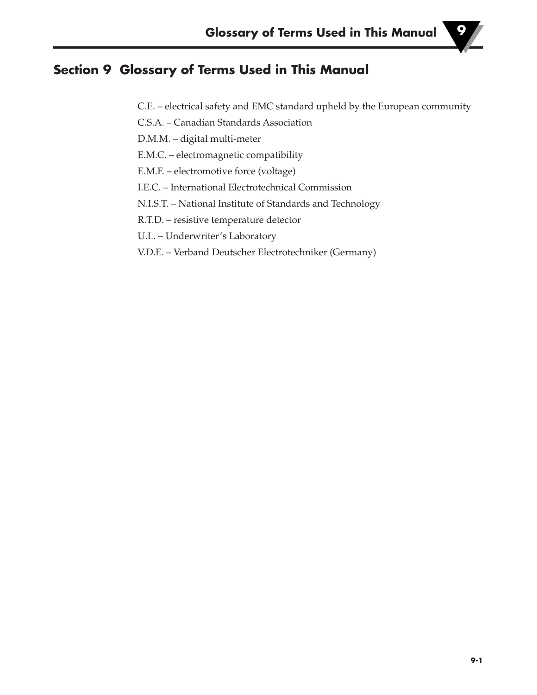### **Section 9 Glossary of Terms Used in This Manual**

- C.E. electrical safety and EMC standard upheld by the European community
- C.S.A. Canadian Standards Association
- D.M.M. digital multi-meter
- E.M.C. electromagnetic compatibility
- E.M.F. electromotive force (voltage)
- I.E.C. International Electrotechnical Commission
- N.I.S.T. National Institute of Standards and Technology
- R.T.D. resistive temperature detector
- U.L. Underwriter's Laboratory
- V.D.E. Verband Deutscher Electrotechniker (Germany)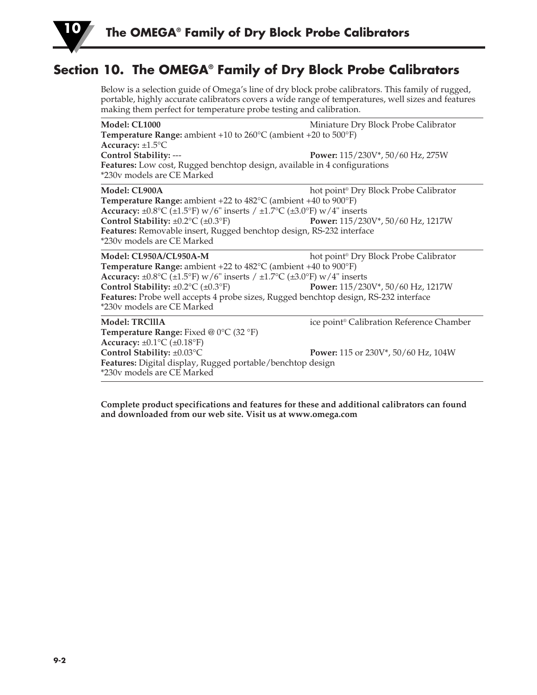

### **Section 10. The OMEGA® Family of Dry Block Probe Calibrators**

Below is a selection guide of Omega's line of dry block probe calibrators. This family of rugged, portable, highly accurate calibrators covers a wide range of temperatures, well sizes and features making them perfect for temperature probe testing and calibration.

| <b>Model: CL1000</b>                                                                            | Miniature Dry Block Probe Calibrator                    |
|-------------------------------------------------------------------------------------------------|---------------------------------------------------------|
| <b>Temperature Range:</b> ambient +10 to $260^{\circ}$ C (ambient +20 to $500^{\circ}$ F)       |                                                         |
| Accuracy: $\pm 1.5$ °C                                                                          |                                                         |
| Control Stability: ---                                                                          | Power: 115/230V*, 50/60 Hz, 275W                        |
| Features: Low cost, Rugged benchtop design, available in 4 configurations                       |                                                         |
| *230v models are CE Marked                                                                      |                                                         |
| Model: CL900A                                                                                   | hot point <sup>®</sup> Dry Block Probe Calibrator       |
| <b>Temperature Range:</b> ambient +22 to $482^{\circ}$ C (ambient +40 to $900^{\circ}$ F)       |                                                         |
| Accuracy: $\pm 0.8$ °C ( $\pm 1.5$ °F) w/6" inserts / $\pm 1.7$ °C ( $\pm 3.0$ °F) w/4" inserts |                                                         |
| Control Stability: $\pm 0.2$ °C ( $\pm 0.3$ °F)                                                 | Power: 115/230V*, 50/60 Hz, 1217W                       |
| Features: Removable insert, Rugged benchtop design, RS-232 interface                            |                                                         |
| *230v models are CE Marked                                                                      |                                                         |
| Model: CL950A/CL950A-M                                                                          | hot point <sup>®</sup> Dry Block Probe Calibrator       |
| <b>Temperature Range:</b> ambient $+22$ to $482^{\circ}$ C (ambient $+40$ to $900^{\circ}$ F)   |                                                         |
| Accuracy: $\pm 0.8$ °C ( $\pm 1.5$ °F) w/6" inserts / $\pm 1.7$ °C ( $\pm 3.0$ °F) w/4" inserts |                                                         |
| Control Stability: $\pm 0.2$ °C ( $\pm 0.3$ °F)                                                 | Power: 115/230V*, 50/60 Hz, 1217W                       |
| Features: Probe well accepts 4 probe sizes, Rugged benchtop design, RS-232 interface            |                                                         |
| *230v models are CE Marked                                                                      |                                                         |
| <b>Model: TRCIIIA</b>                                                                           | ice point <sup>®</sup> Calibration Reference Chamber    |
| Temperature Range: Fixed @ 0°C (32 °F)                                                          |                                                         |
| Accuracy: $\pm 0.1$ °C ( $\pm 0.18$ °F)                                                         |                                                         |
| Control Stability: ±0.03°C                                                                      | <b>Power:</b> 115 or 230V <sup>*</sup> , 50/60 Hz, 104W |
| Features: Digital display, Rugged portable/benchtop design                                      |                                                         |
| *230v models are CE Marked                                                                      |                                                         |

**Complete product specifications and features for these and additional calibrators can found and downloaded from our web site. Visit us at www.omega.com**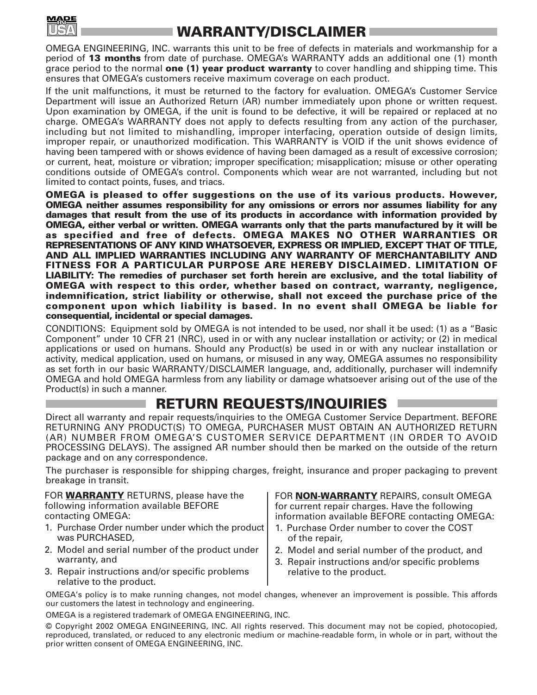

## **WARRANTY/DISCLAIMER**

OMEGA ENGINEERING, INC. warrants this unit to be free of defects in materials and workmanship for a period of **13 months** from date of purchase. OMEGA's WARRANTY adds an additional one (1) month grace period to the normal **one (1) year product warranty** to cover handling and shipping time. This ensures that OMEGA's customers receive maximum coverage on each product.

If the unit malfunctions, it must be returned to the factory for evaluation. OMEGA's Customer Service Department will issue an Authorized Return (AR) number immediately upon phone or written request. Upon examination by OMEGA, if the unit is found to be defective, it will be repaired or replaced at no charge. OMEGA's WARRANTY does not apply to defects resulting from any action of the purchaser, including but not limited to mishandling, improper interfacing, operation outside of design limits, improper repair, or unauthorized modification. This WARRANTY is VOID if the unit shows evidence of having been tampered with or shows evidence of having been damaged as a result of excessive corrosion; or current, heat, moisture or vibration; improper specification; misapplication; misuse or other operating conditions outside of OMEGA's control. Components which wear are not warranted, including but not limited to contact points, fuses, and triacs.

**OMEGA is pleased to offer suggestions on the use of its various products. However, OMEGA neither assumes responsibility for any omissions or errors nor assumes liability for any damages that result from the use of its products in accordance with information provided by OMEGA, either verbal or written. OMEGA warrants only that the parts manufactured by it will be as specified and free of defects. OMEGA MAKES NO OTHER WARRANTIES OR REPRESENTATIONS OF ANY KIND WHATSOEVER, EXPRESS OR IMPLIED, EXCEPT THAT OF TITLE, AND ALL IMPLIED WARRANTIES INCLUDING ANY WARRANTY OF MERCHANTABILITY AND FITNESS FOR A PARTICULAR PURPOSE ARE HEREBY DISCLAIMED. LIMITATION OF LIABILITY: The remedies of purchaser set forth herein are exclusive, and the total liability of OMEGA with respect to this order, whether based on contract, warranty, negligence, indemnification, strict liability or otherwise, shall not exceed the purchase price of the component upon which liability is based. In no event shall OMEGA be liable for consequential, incidental or special damages.**

CONDITIONS: Equipment sold by OMEGA is not intended to be used, nor shall it be used: (1) as a "Basic Component" under 10 CFR 21 (NRC), used in or with any nuclear installation or activity; or (2) in medical applications or used on humans. Should any Product(s) be used in or with any nuclear installation or activity, medical application, used on humans, or misused in any way, OMEGA assumes no responsibility as set forth in our basic WARRANTY/DISCLAIMER language, and, additionally, purchaser will indemnify OMEGA and hold OMEGA harmless from any liability or damage whatsoever arising out of the use of the Product(s) in such a manner.

### **RETURN REQUESTS/INQUIRIES**

Direct all warranty and repair requests/inquiries to the OMEGA Customer Service Department. BEFORE RETURNING ANY PRODUCT(S) TO OMEGA, PURCHASER MUST OBTAIN AN AUTHORIZED RETURN (AR) NUMBER FROM OMEGA'S CUSTOMER SERVICE DEPARTMENT (IN ORDER TO AVOID PROCESSING DELAYS). The assigned AR number should then be marked on the outside of the return package and on any correspondence.

The purchaser is responsible for shipping charges, freight, insurance and proper packaging to prevent breakage in transit.

FOR **WARRANTY** RETURNS, please have the following information available BEFORE contacting OMEGA:

- 1. Purchase Order number under which the product was PURCHASED,
- 2. Model and serial number of the product under warranty, and
- 3. Repair instructions and/or specific problems relative to the product.

FOR **NON-WARRANTY** REPAIRS, consult OMEGA for current repair charges. Have the following information available BEFORE contacting OMEGA:

- 1. Purchase Order number to cover the COST of the repair,
- 2. Model and serial number of the product, and
- 3. Repair instructions and/or specific problems relative to the product.

OMEGA's policy is to make running changes, not model changes, whenever an improvement is possible. This affords our customers the latest in technology and engineering.

OMEGA is a registered trademark of OMEGA ENGINEERING, INC.

© Copyright 2002 OMEGA ENGINEERING, INC. All rights reserved. This document may not be copied, photocopied, reproduced, translated, or reduced to any electronic medium or machine-readable form, in whole or in part, without the prior written consent of OMEGA ENGINEERING, INC.